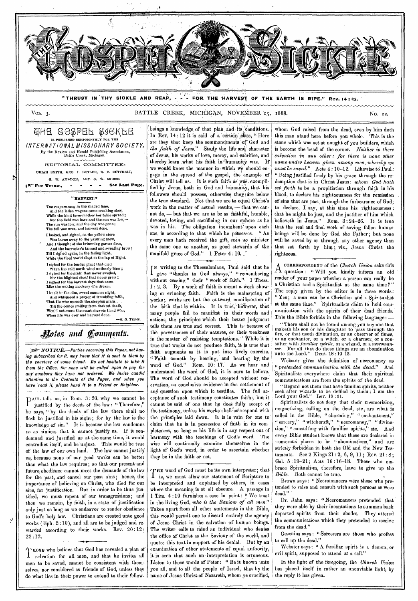

Dr. Jahn says: " Necromancers pretended that they were able by their incantations to summon back departed spirits from their abodes. They uttered the communications which they pretended to receive from the dead."

Gesenius says: " Sorcerers are those who profess to call up the dead."

Webster says: " A familiar spirit is a demon, or evil spirit, supposed to attend at a call."

In the light of the foregoing, the *Church Union*  has placed itself in rather an unenviable light, by the reply it has given.

then we remain, by faith, in a state of justification only just so long as we endeavor to render obedience to God's holy, law. Christians are created unto good works (Kph. 2:10), and all are to be judged and rewarded according to their works. Rev. 20:12 ;

1 'uosE who believe that God has revealed a plan of salvation for all men, and that he invites all men to be saved, cannot be consistent with themselves, nor considered as friends of God, unless they do what lies in their power to extend to their fellow-

22:12.

in the living God, *who is the Saviour of all men."*  Taken apart from all other statements in the Bible, this would permit one to discard entirely the agency of Jesus Christ in the salvation of human beings. The writer calls to mind an individual who denies the office of Christ as the Saviour of' the world, and quotes this text in support of his denial. But by an examination of other statements of equal authority, it is seen that such an interpretation is erroneous. Listen to those words of Peter: " Be it known unto you all, and to all the people of Israel, that by the name of Jesus Christ of Nazareth, whom ye crucified,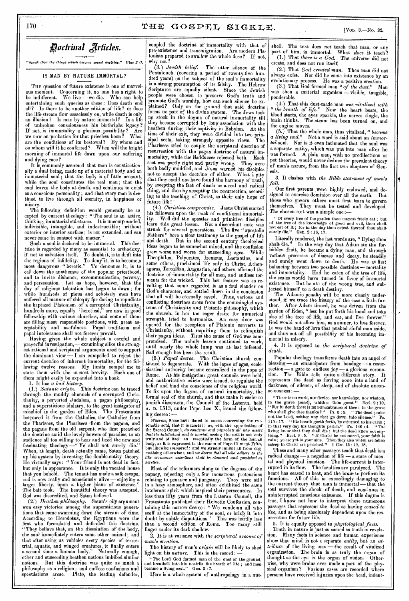# *pothinal jriklea.*

"Speak thou the things which become sound doctrine." Titus 2:1.

#### IS MAN BY NATURE IMMORTAL?

THE question of future existence is one of marvelous moment. Concerning it, no one has a right to be indifferent. We live—we die. Who can help entertaining such queries as these : Does death end all? Is there to be another edition of life? or does the life-stream flow ceaselessly on, while death is only an illusion? Is man by nature immortal? Is a life of unbroken consciousness his birthright legacy? If not, is immortality a glorious possibility? Are we now on probation for that priceless boon? What we now on probation for that priceless boon? are the conditions of its bestowal? By whom and on whom will it be conferred? When will the bright morning of immortal life dawn upon our suffering and dying race?

It is commonly assumed that man is constitutionally a dual being, made up of a material body and an immaterial soul; that the body is of little account, while the soul constitutes the real man; that the soul leaves the body at death, and continues to exist as a conscious personality ; and that every man is destined to live through all eternity, in happiness or misery.

The following definition would generally be accepted by current theology : "The soul is an active, thinking, immaterial substance. I t is uncompounded, indivisible, intangible, and indestructible; without exterior or interior surface; is not extended, and can never come in contact with matter."

• Such a soul is declared to be immortal. This doctrine is regarded by niany as essential to orthodoxy, if not to salvation itself: To doubt it, is to drift into the regions of infidelity. To deny it, is to become a most dangerous ." heretic." To denounce it, is to call down the anathemas of the popular priesthood, and to invite dishonor, excommunication, poverty, and persecution. Let us hope, however, that the day of religious toleration has begun to dawn; for while hundreds of pious and scholarly men have suffered all manner of obloquy for daring to repudiate the baptized Platonism of a corrupted Christianity, hundreds more, equally 'heretical," are now in good fellowship with various churches, and some of them are filling most responsible positions, with great acceptability and usefulness. Papal traditions and papal intolerance shall not forever prevail.

Having given the whole subject a careful and prayerful investigation,— examining alike the strongest rational and scriptural arguments used to support the dominant view  $\frac{1}{x}$  am compelled to reject the current doctrine of inherent immortality, for the following twelve reasons. My limits compel me to state them with the utmost brevity. them might easily be expanded into a book.

1. It has *a bad history.* 

*(1.) Satanic origin.* This doctrine can be traced through the muddy channels of a corrupted Christianity, a perverted Judaism, a pagan philosophy, and a superstitious idolatry, to the great instigator of mischief in the garden of Eden. The Protestants borrowed it from the Catholics, the Catholics from the Pharisees, the Pharisees from the pagans, and the pagans from the old serpent, who first preached the doctrine amid the lovely bowers of paradise, to an audience all too willing to hear and heed the new and fascinating theology —" Ye shall not surely die." When, at length, death actually came, Satan patched up his system by inventing the double-entity theory. He virtually says : " Your friend is not dead in fact, but only in appearance. It is only the vacated house that you behold. The tenant has made a safe escape, and is now really and consciously alive — enjoying a larger liberty, upon a higher plane of existence." The bait took. The beautiful theory was accepted. God was discredited, and Satan believed.

*(2.) \_Heathen philosophy.* Satan's oily argument won easy victories among the superstitious generations that came swarming down the stream of time. According to Herodotus, the Egyptians were the first who formulated and defended this doctrine. "They believe that, on the dissolution of the body, the soul immediately enters some other animal ; and that after using as vehicles every species of terrestrial, aquatic, and winged creatures, it finally enters a second time a human body." Naturally enough, other and succeeding heathen nations imbibed similar notions. But this doctrine was quite as much a philosophy as a religion ; and endless confusions and speculations arose. Plato, the leading defender, coupled the doctrine of immortality with that of pre-existence and transmigration. Are modern Platonists prepared to swallow the whole dose ? If not, why not ?

*(3.) Jewish belief.* The utter silence of the Pentateuch (covering a period of twenty-five hundred years) on the subject of the soul's immortality is a strong presumption of its falsity. The Hebrew Scriptures are equally silent. Since the Jewish people were chosen to preserve God's truth and promote God's worship, how can such silence be explained? Only on the ground that said doctrine forms no part of the divine system. The Jews took no stock in the dogma of natural immortality till they became corrupted by long association with the heathen during their captivity in Babylon. At the time of their exit, they were divided into two principal sects, taking strangely opposite views. The Pharisees tried to couple the scriptural doctrine of resurrection with the pagan doctrine of natural immortality, while the Saddueees rejected both. Each sect was partly right and partly wrong. They were both badly muddled, and Jesus warned his disciples not to accept the doctrine of either. What a pity that they could not have found the harmony of truth, by accepting the fact of death as a real and radical thing, and then by accepting the resurrection, accord: ing to the teaching of Christ, as their only hope of future life I '

*(4.) Christian compromise.* Jesus Christ started his followers upon the track of conditional immortality. Well did the apostles and primitive disciples learn this great lesson. Not a discordant note was struck for several generations. The five " apostolic Fathers" bore a clear testimony to the gospel of life and death. But in the second century theological But in the second century theological ideas began to be somewhat mixed, and the confusion grew worse and worse for succeeding ages. While Theophilus, Polycrates, Irenæus, Lactantius, and some others, proclaimed life only in Christ, Adieuagoras, Tertullian, Augustine, and others, affirmed the doctrine of immortality for all men, and endless torments for the wicked. This last feature was so revolting that some regarded it as a foul slander on God's character, and settled down in the conclusion that all will be eternally saved. Thus, various and conflicting doctrines arose from the commingled systems of Christianity and Platonic philosophy, which the church, in her too eager desire for numerical strength, tried to harmonize. An easy door was strength, tried to harmonize. opened for the reception of Platonic converts to Christianity, without requiring them to relinquish their pagan ideas. Thus the cause of God was compromised. The unholy leaven continued to work, until nearly the whole lump was at last infected. Sad enough has been the result.

*(5.) Papal decree.* The Christian church continued to degenerate. With the lapse of ages, ecclesiastical authority became centralized in the pope of Rome. At his instigation great councils were held, At his instigation great councils were held, and authoritative edicts were issued, to regulate the belief and bind the conscience of the religious world. To fix upon the dogma of natural immortality, the formal seal of the church, and thus make it easier to punish dissenters, the Council of the Lateran, held A. D. 1513, under Pope Leo X., issued the following decree : —

Whereas, Some have dated to assert concerning the represented by the second of the Sacred Counce 1, do condemnt and reprobate all who assert that the intellectual soul is mortal, seeing the soul is not only that the intel body, as it is expressed in the canon or rope of means out likewise *immortal*; and we strictly inhibit all from dog-<br>we done that all who adhere to the matizing otherwise ; and *we decree* that all who adhere to the like *erroneous assertions* shall be shunned and punished as heretics.

Most of the reformers clung to the dogmas of the papacy, rejecting only a few monstrous pretensions relating to penance and purgatory. They were still in a hazy atmosphere, and often exhibited the same intolerant spirit which inspired their persecutors. In less than fifty years from the Lateran Council, the Protestants published their Helvetic Confession, containing this narrow decree : "We condemn all who scoff at the immortality of the soul, or bring it into doubt by subtle disputations." This was hardly less than a second edition of Rome. Too many still linger under its dark shadow.

2. It is at variance with *the scriptural account of man's creation.* 

The history of man's *origin* will be likely to shed light on his *nature.* This is the record : —

"The Lord God formed man of the dust of the ground, and breathed into his nostrils the breath of life; and man became a living soul." Gen. 2 : 7.

ll'ere is a whole system of anthropology in a nut

shell. The text does *not* teach that man, or any part of him, is immortal. What *does* it teach? (1.) That *there is a God.* The universe did not (1.) That there is a God. The universe did not create, and does not run itself.

(2.) That *God created* man. Then man did not always exist. Nor did he come into existence by an evolutionary process. He was a positive creation.

(3.) That God formed man *"of the dust."* Man was then a material organism - visible, tangible, ponderable.

(4.) That this dust-made man was *vitalized with " the breath of life."* Now the heart beats, the blood starts, the eyes sparkle, the nerves tingle, the brain thinks. The steam has been turned on, and the engine moves.

 $(5.)$  That the whole man, thus vitalized, " *became* a *living soul.*" Not a word is said about an *immor*-Not a word is said about an *immortal* soul. Nor is it even intimated that the soul was a separate entity, which was put into man after he was formed. A plain man, with no predilections or pet theories, would never deduce the prevalent theory of man's nature, from the first two chapters of Genesis.

3. It clashes with *the Bible statement of man's fall.* 

Our first parents were highly endowed, and designed to exercise dominion over all the earth. But those who govern others must first learn to govern<br>themselves They must be tosted and daveland They must be tested and developed. The chosen test was a simple one:—

" Of every tree of the garden thou mayest freely eat ; but of the tree of the knowledge of good and evil, thou shalt not eat of it; for in the day thou eatest thereof thou shalt surely die." Gen. 2 : 18, 17.

Literally rendered, the last words are, "Dying thou shalt die." In the very day that Adam ate the forshalt die." In the very day that Adam ate the for-<br>bidden fruit, he became a dying man, and through various processes of disease and decay, he steadily and surely went down to death. He was at first balancing between two possible destinies — mortality and immortality. Had he eaten of the tree of life, the scales would have turned in favor of immortal existence. But he ate of the wrong tree, and subjected himself to a death-destiny.

The Adamic penalty will be more clearly understood, if we trace the history of the case a little further. After Adam sinned, he was driven from the garden of Eden, " lest he put forth his hand and take also of the tree of life, and eat, and live forever. God would not allow him, as a sinner, to live forever. It was the hand of love that pushed sinful man aside, and thus cut off all possibility of his becoming immortal in misery.

4. It is opposed to *the scriptural doctrine of death.* 

Popular theology transforms death into an angel of blessing — an emancipator from bondage — a resurrection — a gate to endless joy — a glorious coronation. The Bible tells quite a different story. It represents the dead as having gone into a land of darkness, of silence, of sleep, and of absolute unconsciousness : —

"There is no work, nor device, nor knowledge, nor wisdom, in the grave  $(sheol)$ , whither thou goest." Eccl.  $9:10$ .<br>"For in death there is no remembrance of thee : in the grave who shall give thee thanks ?" Ps. 6 : 5. "The dead praise not the Lord, neither any that go down into silence." Ps. 115 : 17. "His breath goeth forth, he returned to his earth ; in that very day his thoughts perish." Ps, 146 : 4. "The' llving know that they shall die ; but the dead know not any-<br>thing.'' Ecel. 9 : 5. "If Christ be not raised, your fuith is<br>vain; ye are yet in your sins. Then they also which are fallen<br>asleep in Christ are perished.'' 1 C

These and many other passages teach that death is a radical change — a negation of life — a state of mental and physical inaction. The life-current is interrupted in its flow. The faculties are paralyzed. The heart has ceased to beat, and the bruin to perform its functions. All of this is exceedingly damaging to the current theory that man is immortal — that the soul survives the shock of death, and continues in uninterrupted conscious existence. If this dogma is true, I know not how to interpret those numerous passages that represent the dead as having *ceased to live,* and as being absolutely dependent upon the resurrection for future life.

5. It is equally opposed to *physiological facts.* 

Truth in nature is just as sacred as truth in revelation. Many facts in science and human experience show that mind is not a separate *entity,* but an *attribute* of the living man — the result of vitalized organization. The brain is as truly the organ of thought as the eye is the organ of vision. Otherwise, why were brains ever made a part of the physical organism ? Various cases are recorded where persons have received injuries upon the head, indent-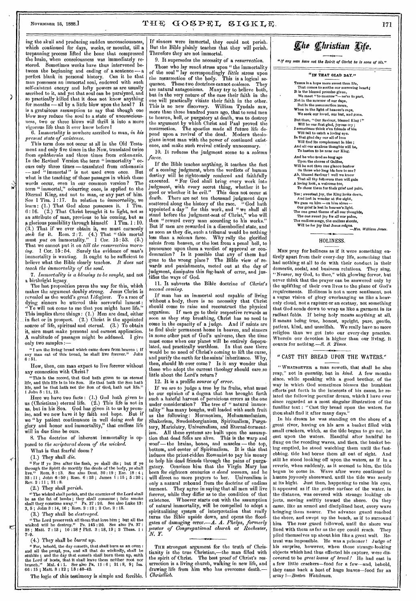Þ

ing the skull and producing sudden unconsciousness, which continued for days, weeks, or months, till a trepanning process lifted the bone that compressed the brain, when consciousness was immediately restored. Sometimes weeks have thus intervened between the beginning and ending of a sentence perfect blank in personal history. Can it be that man possesses an immortal soul, endowed with such self-existent energy and lofty powers as are usually ascribed to it, and yet that soul can be paralyzed, and so practically killed that it does not know anything for months  $-$  all by a little blow upon the head? It is a gratuitous assumption to say that though one blow may reduce the soul to a state of unconsciousness, two or three blows will thrill it into a more vigorous life than it ever knew before!

6. Immortality is nowhere ascribed to man, *in his present state of existence.* 

This term does not occur at all in the Old Testament and only five times in the New, translated twice from *aphtharsia* and three times from *athanasia.*  In the Revised Version the term " immortality" occurs only three times-translated from *athanasia*  -and " immortal" is not used even once. But what is the teaching of those passages in which these words occur, even in our common version? The term " immortal," occurring once, is applied to the Eternal King, and not to man, or any part of him.<br>See 1 Tim. 1:17. In relation to *immortality*, we See 1 Tim. 1:17. In relation to *immortality*, we learn : (1.) That God alone possesses it. 1 Tim. 6 : 16. (2.) That Christ brought it to light, not as an attribute of man, previous to his coming, but as g glorious possibility through himself. 1 Tim. 1 :10. (3.) That if we ever obtain it, we must earnestly *seek* for it. Horn. 2 : 7. (4.) That " this mortal must *put on* immortality." 1 Cor. 15 : 53. (5.) That we cannot put it on *till the resurrection morning.* 1 Cor. 15 : 54. Surely the evidence of man's immortality is wanting. It ought to be sufficient to believe what the Bible clearly teaches. It does not *teach the immortality of the soul.* 

*7. immortality is a blessing to be sought,* and not a birthright legacy,

The last proposition paves the way for this, which makes the argument doubly strong. Jesus Christ is revealed as the world's great Lifegiver. To a race of dying sinners he uttered this sorrowful lament: " Ye will not come to me that you might have life." This implies three things: (1.) Men are dead, either in fact or in prospect. (2.) Christ is the appointed source of' life, spiritual and eternal. (3.) To obtain it, nien must make personal and earnest application.  $\vec{A}$  multitude of passages might be adduced. I give only two samples :-

"I am the living bread which came down from heaven ; If any man eat of this bread, he shall live forever." John  $6:51.$ 

How, then, can man expect to live forever without any connection with Christ?

"This is the record, that God bath given to us eternal life, and this life is in his Son. He that hath the Son hath<br>life, and he that hath not the Son of God, hath not life.'' 1 John 5 : 11, 12.

Here we have two facts : (1.) God bath given to us (Christians) eternal life. (2.) This life is not in us, but in his Son. God has given it to us by promise, and we now have it by faith and hope. But if we "by patient continuance in well doing *seelc* for glory and honor and immortality," that endless life will in due time be ours.

8. The doctrine of inherent immortality is opposed to *the scriptural doom of the wicked.* 

What is that fearful doom ?

(1.) They shall *die.* 

"For if *ye* live after the flesh, ye shall die ; but if *ye*  through the Spirit do mortify the deeds of the body, ye shall live." Rom. 8 : 13. See also Dent. 30 : 19 ; Eze. 18 : 4 ; 33 : 11 ; John 6 : 50 ; Rom. 6 : 23 ; James 1 : 15 ; 5 : 20 ; Rev. 2 : 11 ; 21 : 8.

(2.) They shall *perish.* 

"The wicked shall perish, and the enemies of the Lord shall be as the fat of lambs ; they shall consume ; into smoke shall they consume away." Ps. 37 : 20. See also Luke 13: 3, 5 ; John 3 : 14, 16 ; Rom. 2 ; 12 ; 2 Cor. 2 : 15.

(3.) They shall be *destroyed.* 

"The Lord preserveth all them that love him ; but all the wicked will he destroy." Ps. 145 : 20. See also Ps. 37 : 38 ; Matt. 7 :13 ; 10 : 28 t Phil. 3 :18, 19 ; 2 Thess. 1 : 7-9.

(4.) They shall be *burnt up.* 

"For, behold, the day cometh, that shall burn as an oven:<br>and all the proud, yea, and all that do wickedly, shall be<br>stuhle; and the day that cometh shall baunt them up, saith<br>the Lord of hosts, that it shall leave them n

The logic of this testimony is simple and forcible.

If sinners were immortal, they could not perish. But the Bible plainly teaches that they will perish. Therefore they are not immortal.

9. It supersedes the necessity of *a resurrection.*  Those who lay *much* stress upon " the immortality of the soul " lay correspondingly *little* stress upon the resurrection of the body. This is a logical sequence. These two doctrines cannot coalesce. They are natural antagonisms. Many try to believe both, but in the very nature of the ease their faith in the one will practically vitiate their faith in the other. This is no new discovery. William Tyndale saw, more than three hundred years ago, that to send men to heaven, hell, or purgatory at death, was to destroy the argument by which Christ and Paul proved the resurrection. The apostles made all future life depend upon a revival of the dead. Modern theologians invest man with the power of continued existence, and make such revival entirely unnecessary.

10. It reduces the judgment scene to *a solemn farce.* 

If the Bible teaches anything, it teaches the fact of a coming judgment, when the verdicts of human destiny will be righteously rendered and faithfully desuny will be lignedusly convert work into judgment, with every secret thing, whether it be good or whether it be evil." This does not occur at good or whether it be evil. And you have seen the days<br>death. There are not ten thousand judgment days<br>seattered along the history of the race. "God hath scattered along the history of the race. "God hath appointed a day " for this work, and " we shall all stand before the judgment-seat of Christ," who will. then "reward every man according to his works." But if men are rewarded in a disembodied state, and as soon as they die, such a tribunal would be nothing less than a solemn farce. Why rally the glorified saints from heaven, or the lost from a penal hell, to pronounce upon them a verdict of approval or condemnation ? Is it possible that any of them had gone to the wrong place? The Bible view of rewards and punishments, meted out at the day of judgment, dissipates this fog-bank of error, and justifies the ways of God.

11. It subverts the Bible doctrine of *Christ's second corning.* 

If man has an immortal soul capable of living without a body, there is no necessity that Christ should come to raise and reconstruct the physical organism. If men go to their respective rewards as soon as they stop breathing, Christ has no need to come in the capacity of a judge. And if saints are to find their permanent home in heaven, and sinners in some other part of God's universe, then the time must come when our planet will be entirely depopulated, and practically worthless. In that case there would be no need of Christ's coming to lift the curse, and purify the earth for the saints' inheritance. Why, then, should he ever come? Is it any wonder that those who adopt the current theology should care,so little about the Lord's return ?

12. It is a prolific *source of error.* 

If we are to judge a tree by its fruits, what must be our opinion of a dogma that has brought forth such a hateful harvest of pernicious errors as the one under consideration? The tree of " natural immortality " has many boughs, well loaded with such fruit and consideration? The free of matural initiated<br>tality" has many boughs, well loaded with such fruit<br>as the following: Mormonism, Mohammedanism, Shakerism, Swedenborgianism, Spiritualism, Purgatory, Mariolatry, Universalism, and Eternal-tormentism. All these systems are built upon the assumption that dead folks are alive. This is the warp and woof- the brains, bones, and muscles - the top, bottom, and center of Spiritualism. It is this that induces the priest-ridden Romanist to pay his money to help his dead friends through the pains of purgagatory. Convince him that the Virgin Mary has been for eighteen centuries a dead woman, and he will direct no more prayers to her. Universitism is will direct no more prayers to her. Univeralism is only a natural rebound from the doctrine of' endless torment. They agree in saying that all men will live forever, while they differ as to the condition of that Whoever starts out with the assumption of natural immortality, will be compelled to adopt a spiritualizing system of interpretation that really turns the Bible upside down, and opens the floodgates of damaging error.-A. *A. Phelps, formerly pastor of Congregational church. at Rochester, N.Y.* 

THE strongest argument for the truth of Christianity is the true Christian,-the man filled with the spirit of Christ. The best proof of Christ's resurrection is a living church, walking in new life, and drawing life from him who has overcome death. *Christlieb.* 

# *flit Christian Xife.*

"If any man have not the Spirit of Christ he Is none of his."



#### HOLINESS.

MEN pray for holiness as if it were something entirely apart from their every-day life, something that had nothing at all to do with their conduct in their domestic, social, and business relations. They sing, "Nearer, my God, to thee," with glowing fervor, but never think that the prayer can be answered only by the uplifting of their own lives to the plane of God's requirements. Holiness is not a mere sentiment, not a vague vision of glory overhanging us like a heavenly cloud, not a rapture or an ecstasy, not something that God sends down to wrap us like a garment in its radiant folds. If being holy means anything at all, it means being true, honest, upright, pure, gentle, patient, kind, and unselfish. We really have no more religion than we get into our every-day practice. Wherein our devotion is higher than our living, it counts for nothing.-S. S. Times.

#### " CAST THY BREAD UPON THE WATERS."

" WHATSOEVER a man soweth, that shall he also reap," not in *quantity,* but in *kind.* A few months since, while speaking with a good brother, of the way in which God sometimes blesses the humblest efforts put forth in the interests of his cause, he related the following peculiar dream, which I have ever since regarded as a most singular illustration of the familiar text : "Cast thy bread upon the waters, for thou shalt find it after many days.

In his dream he was standing on the shore of a great river, having on his arm a basket filled with small crackers, which, as the tide began to go out, he cast upon the waters. Handful after handful he flung on the receding waves, and then, the basket being emptied, he stood watching them until the fastebbing, tide had borne them all out of sight. And still he stood looking off upon the waters, as if in a reverie, when suddenly, as it seemed to him, the tide began 'to come in. Wave after wave continued to hasten joyously shoreward, until the tide was nearly at its bight. Just then, happening to raise his eyes, it appeared as if the entire surface of the water, in the distance, was covered with strange looking objects, moving swiftly toward the shore. On they came, like an armed and disciplined host, every wave bringing them nearer. The advance guard reached the shore, and swept up the beach, as if to surround him. The rear guard followed, until the shore was.<br>lined with them as far as the cye could reach. They lined with them as far as the cye could reach. piled themselves up about him like a great wall. Retreat was impossible. He was a prisoner! Judge of his surprise, however, when those strange-looking objects which had thus effected his capture, were discovered to be *great loaves of bread !* He had cast in a few little crackers-food for a few-and, behold, they came back a host of huge loaves-food for an army *I-Boston Watchman.*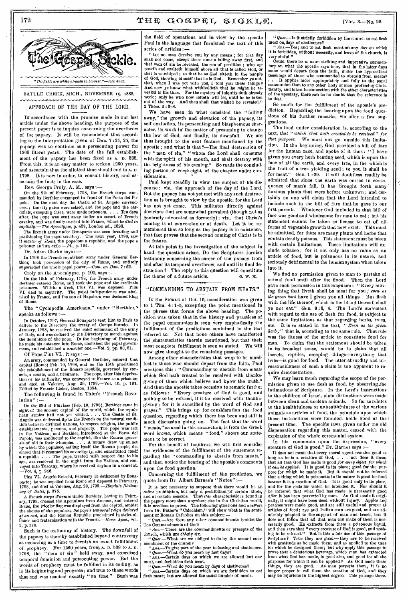### 172  $T \text{H} \oplus \text{GO} \otimes \text{P} \oplus \text{L} \text{S} \text{I} \otimes \text{K} \text{L} \oplus \text{S}.$  [Vol. 8.—No. 22.



BATTLE CREEK, MICH., NOVEMBER 15, 1888. esenamunyesesananyasesenamunsesenamunvesesenamunsesenamunsesenamanunsesesanamunveseseam

APPROACH OF THE DAY OF THE LORD.

IN accordance with the promise made in our last article under the above heading, the purpose of the present paper is to inquire concerning the overthrow of the papacy. It will be remembered that according to the interpretation given of Dan. 7 :24, 25, the papacy was to continue as a persecuting power for 1260 literal years. The date of the full establishment of the papacy has been fixed as A. D. 588. From this, it is an easy matter to reckon 1260 years, and ascertain that the allotted time should end in A. D. 1798. It is now in order, to consult history, and ascertain the facts in the case.

Rev. George Croly, A. M., says :—

On the 9th of February, 1798, the French corps com-manded by Berthier encamped in front of the Porta del Po-polo. On the next day the Castle of St. Angelo surrendered ; the city gates were seized, and the pope and the car-<br>dinals, excepting three, were made prisoners, , , , Ten davs ditials, excepting three, were made prisoners. . . . Ten days after, the pope was sent away under an escort of French cavalry, and was finally carried into France, where he *died in captivity.—The Apocalypse,* p. 429, London ed., 1828.

The French army nuder Bonaparte was seen invading and partitioning the papal territory. The next year, 1798, saw it *master of Rome*, the popedom a republic, and the pope a prisoner and an exile.— $Id$ , p. 124.

Dr. Adam Clarke says :-

In 1798 the French republican army under General Berthier, took possession of the city of Rome,<br>superseded the whole papal power,—*Com. on 1* thier, took possession of the city of Rome, and entirely superseded the whole papal power.—Com. on Dan. 7:25. Croly on the Apocalypse, p. 100, says :—

On the 10th of February, 1798, the French army under Berthier entered Rome, and took the pope and the cardinals prisoners. Within a week, Plus VI. was deposed. Plus VI. died in captivity. The papal independence was abolished by France, and the son of Napoleon was declared king of Rome.

The "Cyclopedia Americana," under "Berthier," speaks as follows : —

In October, 1797, General Bonaparte sent him to Paris to deliver to the Directory the treaty of Campo-Formio. In January, 1798, he received the chief command of the army of Italy, and was ordered by the Directory to march against the dominions of the pope. In the beginning of February, he made his entrance into Rome, abolished the papal government, and established a consular one.—Vol. 2, pp. 80, 81.

Of Pope Pius VI., it says :—

An army, commanded by General Berthier, entered that capital (Rome) Feb. 10, 1798, and on the 15th proclaimed the establishment of the Roman republic, governed by consuls, a senate, and a tribunate. The pope, after this depriva-tion of his authority, was conveyed to France as a prisoner, and died at Valence, Aug. 29, 1799.—Vol. 10, p. 161. Edited by Francis Lieber, Boston, 1854.

The following is found in Thier's "French Revolution " :

On the 22d of Pluviose (Feb. 10, 1798), Berthier came in<br>sight of the ancient capital of the world, which the repub-<br>lican armies had not yet visited.... The Castle of St.<br>Angelo was delivered up to the French on the natu tion between civilized nations, to respect religion, the public establishments, persons, and property. The pope was left in the Vatican, and Berthier, introduced at the Porta del Popolo, was conducted to the capitol, like age, was removed in the night from the Vatican, and conveyed into Tuscany, where he received asylum in a convent. —Vol. 4, p. 246.

Pius VI., Angelo Braschi, February 15 dethroned by Bonaparte; he was expelled from Rome and deposed in February, 1798, and died at Valence, Aug. 29, *1799.—Haydn's Dictionary of Dates,* p. 375.

A French corps *d'armee* under Berthier, having in Febru-ary, 1798, crossed the Apennines from Ancona, and entered Rome, the tricolor flag was displayed from the capitol, amidst the shouts of the populace, *the pope's temporal reign declared*<br>*at an end*, and the Roman Republic proclaimed in strict al-<br>Hance and fraternization with the French.—*Horce Apoc.*, vol. 3, p. 370.

Such is the testimony of history. The downfall of the papacy is thereby established beyond controversy as occurring at a time to furnish an exact fulfillment of prophecy. For 1260 years, from A. D. 538 to A. D. 1798, the " man of sin " held sway, and exercised temporal dominion and persecuting power. But the words of prophecy must be fulfilled in its ending, as in its beginning and progress ; and true to those words that end was reached exactly "on time." Such was the field of operations had in view by the apostle Paul in the language that furnished the text of this series of articles :-

"Let no man deceive you by any means ; for that day shall not come, except there come a falling away first, and that man of sin be revealed, the son of perdition ; who opposeth and exalteth himself above all that is called God, or that is worshiped; so that he as God sitteth in the temple of God, showing himself that he is God. Remember ye not, that, when I was yet with you, I told you these things ? And now ye know what withholdeth that he might be revealed in his time. For the mystery of iniquity doth already work ; only he who now letteth will let, until he be taken out of the way. And then shall that wicked be revealed." 2 These. 2 :8-8.

We have seen in what consisted the "falling away," the growth and elevation of the papacy, its self-exaltation, its persecuting and blasphemous character, its work in the matter of presuming to change the law of God, and finally, its downfall. We are thus brought to the next feature mentioned by the apostle ; and what is that ?—The final destruction of the "man of sin," "whom the Lord shall consume with the 'spirit of his mouth, and shall destroy with the brightness of his coming." So reads the concluding portion of verse eight, of the chapter under consideration.

Paul kept steadily in view the subject of his discourse; viz., the approach of the day of the Lord. But the papacy has not yet met with any such destruction as is brought to view by the apostle, for the Lord has not yet come. This militates directly against doctrines that are somewhat prevalent (though not as, generally advocated as formerly); viz., that Christ's coming is at conversion or at death. Let it be remembered that so long as the papacy is in existence, that fact proves that the second coming of Christ is in the future.

At this point in the investigation of the subject in hand, the question arises, Do the Scriptures furnish testimony concerning the career of the papacy from and after its temporal overthrow, and until its final destruction ? The reply to this question will constitute the theme of a future article.  $\qquad \qquad \text{a. w. M.}$ 

#### "COMMANDING TO ABSTAIN FROM MEATS."

In the SICKLE of Oct. 15, consideration was given to 1 Tim. 4 :1-5, excepting the point mentioned in the phrase that forms the above heading. The position was taken that in the history and practices of the papal communion is seen very emphatically the fulfillment of the predictions contained in the text referred to. Not that none others have manifested the ,characteristics therein mentioned, but that their most complete fulfillment is seen as stated. We will now give thought to the remaining passages.

Among other characteristics that were to be manifest in those who should depart from the faith, Paul mentions this : " Commanding to abstain from meats which God hath created to be received with thanksgiving of them which believe and know the truth." And then the apostle takes occasion to remark further as follows : " Every creature of God is good, and nothing to be refused, if it be received with thanksgiving ; for it is sanctified by the word of God and prayer." This brings up for consideration the food question, regarding which there has been and still is much discussion going on. The fact that the word " meats," as used in this connection, is from the Greek word *broma,* which means " food," shows our statement to be correct.

For the benefit of inquirers, we will first consider the evidences of the fulfillment of the statement regarding the "commanding to abstain from meats," and then notice the bearing of the apostle's comments upon the food question.

Concerning the fulfillment of the prediction, we quote from Dr. Albert Barnes's "Notes" :-

It is not necessary to suppose that there would be an *entire* prohibition, but only a prohibition :of certain kinds, and at certain seasons. That *this* characteristic is found in the papacy more than anywhere else in the Christian world, it is needless to prove. The following questions and answers from Dr. Butler's "Catechism," will show what is the sentiment of Roman Catholics on this subject:—

" *Ques.—Are* there any other commandments besides the

Ten Commandments of God?<br>
"  $Ans.$ —There are the commandments or precepts of the<br>
church, which are chiefly six.<br>
" Ques...—What are we obliged to do by the second com-<br>
mandment of the church?<br>
"  $Ans.$ —To give part of the y

*" Ques.—What* do you mean by fast days? "Ans.—Certain days on which we are allowed but one meal, and forbidden flesh meat.

*" Ques.—What* do you mean by days of abstinence? *" Ans.—Certain* days on which we are forbidden to eat flesh meat; but are allowed the usual number of meals.

*" Ques.—Is* it strictly forbidden by the church to eat flesh meat on, days of abstinence?

*" Avis .—Y es;* and to eat flesh meat on any day on which it is forbidden, without necessity, and leave of the church, is very sinful."

Could there be a more striking and impressive commentary on what the apostle says here, that in the latter days some would depart from the faith, under the hypocritical teachings of those who commanded to abstain from meats?<br>...It applies more appropriately and fully to the papal<br>communion than to any other hody of men professing Christianity, and taken in connection with the other characteristics of the apostasy, there can be no doubt that the reference is to that.

So much for the fulfillment of the apostle's prediction. Regarding the bearing upon the food questions of his further remarks, we offer a few suggestions.

The food under consideration is, according to the text, *that "which God hath created to be received" for that purpose.* We must not go outside this limitation. In the beginning, God provided a bill of fare for the human race, and spoke of it thus : "I have given you every herb bearing seed, which is upon the face of all the earth, and every tree, in the which is the fruit of a tree yielding seed ; to you it shall be for meat." Gen. 1:29. It will doubtless readily be admitted that since the earth was cursed in consequence of man's fall, it has brought forth many noxious plants that were before unknown; and certainly no one will claim that the Lord intended to include such in the bill of fare that he gave to our first parents. Whatever God included in that bill of fare was good and wholesome for man to eat ; but his statement cannot be taken as license to eat of all forms of vegetable growth that now exist. This must be admitted, for there are many plants and herbs that contain deadly poisons. This statement must be taken with certain limitations. These limitations will exclude tobacco ; for it not only has no value as an article of food, but is poisonous in its nature, and seriously detrimental to the human system when taken into it.

We find no permission given to man to partake of animal food until after the flood. Then the Lord gave such permission in this language : "Every moving thing that liveth shall be meat for you ; *even as the green herb* have I given you all things. But flesh with the life thereof, which is the blood thereof, shall ye not eat." Gen. 9:8, 4. The Lord's statement with regard to the use of flesh for food, is subject to the same limitations as that regarding herbs, trees, etc. It is so stated in the text, *"Even as the green herb ;"* that is, according to the same rule. That rule was the fitness of the article to constitute food for man. To claim that the statement should be taken in its broadest sense, would be to claim that all insects, reptiles, creeping things—everything that lives—is good for food. The utter absurdity and unreasonableness of such a claim is too apparent to require demonstration.

We may learn much regarding the scope of the permission given to use fiesh as food, by observing, the intimations of Scripture. In the Lord's instructions to the children of Israel, plain distinctions were made between clean and unclean animals. So far as relates to the healthfulness or unhealthfulness of the various animals as articles of food, the principle upon which those instructions were founded, holds good at the present time. The specific laws given under the old dispensation regarding this matter, ceased with the expiration of the whole ceremonial system.

In his comments upon the expression, "every creature of God is good," Dr. Barnes says :-

It does not mean that every moral agent remains good as<br>long as he is a creature of God, . . . nor does it mean<br>that all that God has made is good for every object for which<br>it can be applied. It is good in its place; good pose for which be made it. But It should not be inferred that a thing which is poisonous in its nature is good for food *because* it is a creation of God. It is good only in its place, and for the ends for wbich he intended it. Nor should it be inferred that what God has made i articles of food; rye and Indian corn are good, and are ad-mirably adapted to the support of man and beast; but it does not follow that all that man can make of them is necessarily good. He extracts from them a poisonous liquid, and then says that "every creature of God is good, and nothing to he refused." But is this a fair use of this passage of Seripture  $\hat{\mathbf{I}}$  True they are good — they are to be received with gratitude as he made them, and as applied to the uses for which he designed them; but wh purposes for which it can be applied ? As God made these things, they are good. As man perverts them, it is no longer proper to call them the creation of God, and they may be injurious in the highest degree. This passage there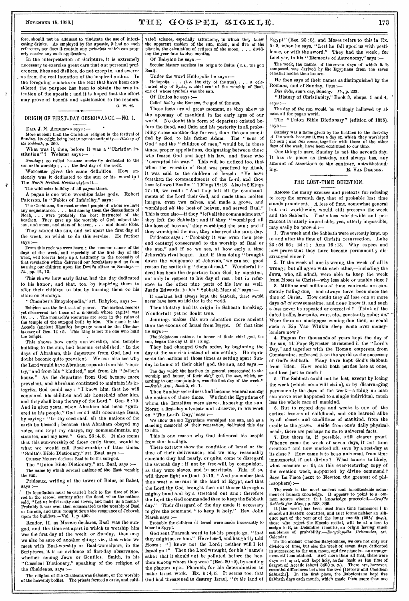$\overline{\mathbf{y}}$ 

### NOVEMBER 15, 1888.]  $T \times T \times G \times F \times L \times T \times L \times L$ . 173

fore, should not be adduced to vindicate the use of intoxieating drinks. As employed by the apostle, it had no such reference, nor does it contain any *principle* which can properly receive any such application,

In the interpretation of Scripture, it is extremely necessary to exercise great care that our personal preferences, likes and dislikes, do not creep in, and swerve us from the real intention of the inspired author. In the foregoing remarks on the text that have been considered, the purpose has been to obtain the true intention of the apostle; and it is hoped that the effort may prove of benefit and satisfaction to the readers. . *4* G. W. M.

## ORIGIN OF FIRST-DAY OBSERVANCE.—N0. 1.

ELD. J. N. ANDREWS says :--

More ancient than the Christian religion is the festival of Sunday, its origin being lost in remote antiquity. —History *of the Sabbath,* p. 260.

What was it, then, before it was a "Christian institution" ? Webster says :— •

*Sunday;* so called because anciently dedicated to the sun or its worship; . . . the first day of the week. Worcester gives the same definition. How an-

ciently was it dedicated to the sun or its worship ?<br>The North British Review styles it-

The wild solar holiday of all *pagan* times.

A pagan is one who worships false gods. Robert Paterson, in " Fables of Infidelity," says :-

The Chaldeans, the most ancient people of whom we have any acquaintance, . . . had among them the descendants of Noah, . . . were probably the best instructed of the heathen. They gave up the worship of God, adored the sun, and moon, and stars of heaven, . . . and dumb idols.

They adored the sun, and set apart the first day of the week, on which to do this service. He further says :—

From this rock we were hewn ; the common names of the days of the week, and especially of the first day of the week, will forever keep up a testimony to the necessity of that revelation which delivered our forefathers and us from burning our children upon the Devil's altars on Sundays. *lb.,* pp. 12, 13.

This shows how early Satan had the day dedicated to his honor ; and that, too, by inspiring them to offer their children to him by burning them on his altars on Sundays.

" Chamber's Encyclopedia," art. Babylon, says :—

Babylon was the first seat of power. The earliest records yet discovered are those of a monarch whose capital was Ur.  $\ldots$ . The monarch's resources are seen in the ruins of the temple of the sun-god built by him. His name in the Accade (ancient Elamite) language would be the Che-dor-<br>la-oner, of Gen. 14 : 5. This king is not the one who huilt the temple.

This shows how early sun-worship, and templebuilding to the sun, had become established. ' In the days of Abraham, this departure from God, had no doubt become quite prevalent. We can also see why the Lord would have Abraham separate from his "country," and from his " kindred," and from his " father's As the departure from God became more prevalent, and Abraham continued to maintain his tegrity, God could say : "I know him, that he. will command his children and his household after him, and they shall keep the way of the Lord." Gen. 8 :19. And in after years, when Abraham had been " gathered to his people," God could still encourage Isaac, by saying : "In thy seed shall all the nations of the earth be blessed; because that Abraham obeyed my voice, and kept my charge, my commandments, my statutes, and my laws." Gen. 26 :4, 5. It also seems that this sun-worship of those early times, would be what we would call Baal-worship of later times. " Smith's Bible Dictionary," art. Baal, says :—

Cruezer Mouere declares Baal to be the sun-god.

The "Union Bible Dictionary," art. Baal, says :-The name by which several nations of the East worship the sun.

Prideaux, writing of the tower of Belus, or Babel, says :-

Its foundation must be carried back to the time of Nimrod in the second century after the flood, when the nations said, "Let us build a city and tower, and make us a name." Probably it was even then consecrated to the worship of Baal or the sun, and thus brought down the vengeance of Jehovah upon the builders.—Vol. 1, p. 490.

Reader, if, as Mouere declares, Baal was the sungod, and the time set apart in which to worship him was the first day of the week, or Sunday, then may meet meet with Bad-worship or Baal-worshipers, in the we also be sure of another thing; viz., that when we Scriptures, it is an evidence of first-day observance, whether among Jews or Gentiles. Smith, in his "Classical Dictionary," speaking of the religion of the Chaldeans, says :—

The religion of the Chaldeans was Sahaism, or the worship of the heavenly bodies. The priests formed a caste, and cultivated science, especially astronomy, in which they knew the apparent motion of the sun, moon, and five of the planets, the calculation of eclipses of the moon, . . . dividing the year into twelve months.

Of Babylon he says :—

Secular history ascribes its origin to Belus ( *i.e., the* god Baal).

Under the word Heliopolis he says :—

Heilopolis, . . . (*i. e.* the city of the sun), . . . a cele-<br>brated city of Syria, a chief seat of the worship of Baal, one of whose symbols was the sun.

Of Helios he says :—

Called *Sol* by the Romans, the god of the sun,

These facts are of great moment, as they show us the apostasy of mankind in the early ages of our world. No doubt this form of departure existed before the flood, and Cain and his posterity In all probability chose another day for rest, than the one sanctified by God, to his father Adam. The "sons of God "and the "children of men," would be, in those times, proper appellations, designating between those who feared God and kept his law, and those who " corrupted his way." This will be noticed too, that when the worship of Baal was practiced by Ahab, it was said to the children of Israel: "Ye have forsaken the commandments of the Lord, and thou The *North British Review* styles it—<br>hast followed Banlim." 1 Kings 18:18. Also in 2 Kings **THE** 17 :16, we read : " And they left all the commandments of the Lord their God, and made them molten images, even two calves, and made a grove, and<br>worshined all the host of heaven and served Baal" worshiped *all* the host of heaven, and served Baal." This is true also--if they "left all the commandments," they left the Sabbath ; and if they "worshiped all the host of heaven," they worshiped the sun ; and if they worshiped the sun, they observed the sun's day.

Prideaux says : "Probably it was even then (secand century) consecrated to the worship of Baal or the sun," and if so we see, at how early a time Jehovah's rival began. And if thus doing "brought down the vengeance of Jehovah," we can see good reason for scattering "them abroad." Wonderful indeed has been the departure from God, by mankind, not only in respect to his day of rest ; but in reference to the other nine parts of his law as well. Justin Edwards, in his " Sabbath Manual," says :-

If mankind had always kept the Sabbath, there would never have been an idolator in the world.

Then idolatry had its origin in Sabbath breaking. Wonderful ! yet no doubt true.

Jennings makes this sun adoration more ancient than the exodus of Israel from Egypt. Of that time he says :—

The idolatrous nations, in honor of their chief god, the sun, began the day at his rising.

They had changed God's order, by beginning the day at the sun rise instead of sun setting. He represents the nations of those times as setting apart Sunday in honor of their chief god, the sun, and says :-

The day which the heathen in general consecrated to the worship and honor, of their *chief* god, the *sun,* which, ac  $\begin{array}{|l|l|}\n\hline\n\text{lociding to our computation, was the first day of the week.}\n\hline\n\text{or } \text{dip}_1 & \text{for } \text{dip}_2 & \text{for } \text{dip}_3 \\
\hline\n\text{or } \text{dip}_4 & \text{for } \text{dip}_4 & \text{for } \text{dip}_5 \\
\hline\n\end{array}$ 

Then Sunday-sacredness had become general among the nations of those times. We find the Egyptians of whom the Israelites were slaves, honoring the sun. Morar, a first-day advocate and observer, in his work on "The Lord's Day," says :—

We allow the old Egyptians worshiped the sun, and as a standing memorial of their veneration, dedicated this day to him.

This is one reason why God delivered his people from that bondage.

These extracts show the condition of Israel at the time of their deliverance ; and we may reasonably conclude they had nearly, or quite, come to disregard the seventh day ; if not by free-will, by compulsion, as they were slaves, and in servitude. This, if so, will throw light on Deut. 5:15, "And remember that thou wast a servant in the land of Egypt, and that the Lord thy God brought thee out thence through a mighty hand and by a stretched out arm : therefore the Lord thy God commanded thee to keep the Sabbath day." Their disregard of the day made it necessary to give the command " to keep it holy." Rev. John Marsh says :—

probably the children of Israel were made incessantly to labor in Egypt.

God sent Pharoah word to let his people go, "that they might serve him." He refused, and haughtily told Moses : "I know not the Lord ; neither will I let Israel go!" Then the Lord wrought, for his " name's sake; that it should not be polluted hefore the heathen among whom they were" (Eze. 20:9), by sending the plagues upon Pharoah, for his determination to make Israel work. Ex.  $5:4, 5$ . It seems too, that God had threatened to destroy Israel, *"in the* land of

Egypt" (Eze. 20 :8), and Moses refers to this in Ex. 5 : 3, when he says, "Lest he fall upon us with pestilence, or with the sword." They had the week; for Lochyer, in his "Elements of Astronomy," says :-

The week, the names of the seven days of which it is composed, was derived by the Egyptians from the seven celestial bodies then known.

He then says of their names as distinguished by the Romans, and of Sunday, thus :—

*Dies Solis,* sun's day, Sunday.—Ib., p. 222. "History of Christianity," Book 8, chaps. 1 and 4, '

says :—

. The day of the sun would be willingly hallowed by almost all the pagan world.

The "Union Bible Dictionary" (edition of 1855), says :—

Sunday was a name given by the heathen to the first-day<br>of the week, because it was a day on which they worshiped<br>the sun ; and this name, together with those of the other<br>days of the week, have heen continued to our time.

One thing is sure, Sunday is not the seventh day. It has its place as first-day, and always has, any amount of assertions to the contrary, notwithstanding.<br> **E.** VAN DEUSEN.

#### THE LOST-TIME QUESTION.

stands prominent. A loss of time, somewhat general AMONG the many excuses and pretexts for refusing to keep the seventh day, that of probable lost time but not world-wide, would still preserve the week and the Sabbath. That a loss world-wide and permanent is utterly improbable, yea, utterly impossible, may easily be proved :—

1. The week and the Sabbath were correctly kept, up to and after the time of Christ's resurrection. Luke 23 : 54-56 ; 24 :1 ; Acts 16 :13. Why expect and how prove that they have become permanently disarranged since ?

2. If the week of one is wrong, the week of all is wrong; but all agree with each other,—including the Jews, who, all admit, were able to keep the week from Moses to Christ—why less able or unable since ?

3. Millions and millions of time contracts are constantly falling due,—and always have been since the time of Christ. How could they all lose one or more days *all at once* sometime, and none know it, and such a loss never be repeated or corrected ? Think of the dated traffic, law-suits, wars, etc., constantly going on. Were there no mortgages coming due then, or could such a Rip Van Winkle sleep come over moneylenders now?

4. Pagans for thousands of years kept the day of the sun, till Pope Sylvester christened it the "Lord's Day," and together with the Roman emperors, from Constantine, enforced it on the world as the successor of God's Sabbath. Many have kept God's Sabbath from Eden. How could both parties lose at once, and lose just so much ?

5. The Sabbath could not be lost, except by losing the week (which, none will claim), or by disarranging permanently the days of the week—a thing no man can prove ever happened to a single individual, much less the whole race of mankind.

6. But to record days and weeks is one of the earliest lessons of childhood, and one learned alike by all classes and conditions of mankind, from the cradle to the grave. Aside from one's daily physical, needs, there are perhaps no more universal facts.

7. But there is, if possible, still clearer proof. Whence came the week of seven days, if not from creation ? and how marked off, save by a rest-day at its close ? How came it to be so universal, from time immemorial, if not divine ? What source so likely, what measure so fit, as this ever-recurring copy of the creation week, supported by divine command ? Says La Place (next to Newton the greatest of philosophers) :—

The week is the most ancient and incontestable monument of human knowledge. It appears to point to a , ommon source whence th t knowledge proceeded.---Craft's *Sabbath for Man,* pp. 528, 365.

It [the week] has been used from time immemori Sabouth for main, pp. 020, 000.<br>It [the week] has been used from time immemori I in<br>almost all Eastern countries, and as it forms neither an alli-<br>quot part of the year or of the lunar month (29 $\frac{1}{2}$  days),<br>those who semblance of probability.—Encyclopedia *Britannica, art.*  Calendar.

To the ancient Chaldeo-Babylonians, we owe not only our division of time, but also the week of seven days, dedicated<br>in succession to the sun, moon, and five planets—an arrange-<br>ment still maintained. And more than all that, there were<br>days set apart, and kept holy, as far hack days set apart, and kept holy, as far back as the time of Sargon of Accade (about 3400 B. c.). There are, however, essential differences between the two [Hebrew and Chaldean Sabbaths]. In the first place, the Babylonians k Sabbath days each month, which made them more than one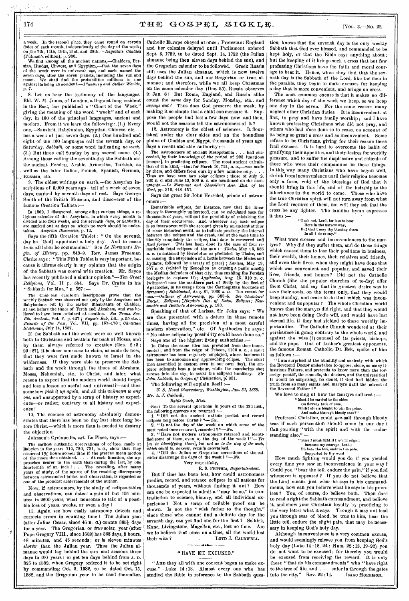a week. In the second place, they came round on certain dates of each month, independently of the day of the week; on the 7th, 14th, 19th, 21st, and 28th. *—Ragozin's Chaldea*  (Pdtnam's edition); p. 230.

We find among all the ancient nations,--Chaldean, Persian, Hindus, Chinese, and Egyptian,—that the seven days of the week were In universal use, and each named the seven days, after the seven planets, including the sun and<br>moon. We shall find the probabilities millions to one<br>against its being an accident.—*Planetary and Stellar Worlds*,

8. Let us hear the testimony of, the languages, Eld. W. M. Jones, of London, a linguist long resident in the East, has published a "Chart of the Week," giving the meaning of the word " week " and of each day, in 160 of the principal languages, ancient and modern. From it we learn the following :,(1.) Every one,—Sanskrit, Babylonian, Egyptian, Chinese, etc, has a week of just seven days. (2.) One hundred and eight of the 160 languages call the seventh day, or Saturday, *Sabbath,* or some word indicating *no work.*  (3.) But three call Sunday by any sacred name. (4.) Among those calling the seventh-day the Sabbath are the ancient Persian, Arabic, Armenian, Turkish, as well as the later Italian, French, Spanish, German, Russian, etc.

9. The oldest writings on earth, —the Assyrian inscriptions of 3,000 years ago—tell of a week of seven days, marked by seventh days of rest. Says George Smith of the British Museum, and discoverer of the famous Creation Tablets :—

In 1869, I discovered, among other curious things, a religious calender of the Assyrians, in which every month is divided into four weeks, and the seventh *days,* or Sabbaths, are marked out as days on which no work should be undertaken.—Assyrian *Discoveries,* p. 12.

Says the fifth Creation Tablet : " On the seventh day he [God] appointed a holy day. And to cease from all labor he commanded." See *Le Normant's Begin. of History,* pp. 248-9. Rev. James Freeman Clarke says : "This Fifth Tablet is very important, because it affirms clearly in my opinion that the origin of the Sabbath was coeval with creation. Mr. Sayce has recently published a similar opinion."—Ten *Great Religions,* Vol. II p. 554. Says Dr. Crafts in his "Sabbath for Man," p. 527

The Challean euniform inscriptions prove that the weekly Sabbath was observed not only by the Assyrians and Babylonians but by the earlier inhabitants of Chaldea, at and before the times of Terah and Abraham, and was believed to have been ordained at creation. - *See Trans. Soc. Bib. Archeol.,* Vol. V, p. 427 ; *Sayce's Bab, Lit.,* p. 55 etc. ; *Records of the Past,* Vol. VII, pp. 157-170 ; *Christian Statesman,* July 14, 1887.

If the Sabbath and the week were so well known both to Christians and heathen far back of Moses, and by them always referred to creation (Gen. 2 :3 ; 29 : 27), it is sheer nonsense to claim, as some do now, that they were first made known to Israel in the wilderness. If they were able to preserve the Sabbath and the week through the times of Abraham, Moses, Nehemiah, etc., to Christ, and later, what reason to expect that the modern world should forget and lose a lesson so useful and universal ?- and then somehow *pick it up again,* and all this *unknown to any one,* and unsupported by a scrap of history or experience--or rather, contrary to all history and experience 1

10. The science of astronomy absolutely demonstrates that there has been no day lost since long before Christ,—which is more than is needed to destroy the objection.

Johnson's Cyclopedia, art. La Place, says :—

The carliest authentic observations of celipse, made at Bubylon in the years 719, 720, 721, B. C., show that they occurred 1% hours somer than if the present mean motion of the mounth of proaches nearer to the earth than years of study, of the source of the resulting discrepancy between astronomical tables and observation, is regarded as one of the proudest achievements of the author.

Now, if astronomers, by the study of eclipse-tables and observations, can detect a gain of but 105 minutes in 2600 years, what nonsense to talk of a possible loss of years, weeks, or even a day 1

11. Again, see how easily astronomy detects and corrects errors in counting time I The Julian year (after Julius Cæsar, since 45 B. C.) counts 365} days for a year. The Gregorian. or *true* solar, year (after Pope Gregory VIII., since 1582) has 365 days, 5 hours, 48 minutes, and 46 seconds ; or is eleven minutes *shorter* than the Julian year. Thus the Julian almanac would lag behind the sun and seasons three days in 400 years ; or get ten days behind from A. D. 325 to 1582, when Gregory ordered it to be set right by commanding Oct. 5, 1582, to be dated Oct. 15, 1582, and the Gregorian year to be used thereafter.

Catholic Europe obeyed at once ; Protestant England and her colonies delayed until Parliament ordered Sept. 3, 1752, to be dated. Sept. 14, 1752 (the Julian almanac being then eleven days behind the sun), and the Gregorian calender to be followed. Greek Russia still uses the Julian almanac, which is now twelve days behind the sun, and our Gregorian, or true, almanac; and therefore, while we all keep Christmas On the same calender day (Dec. 25), Russia observes it Jan. 6I But Rome, England, and Russia alike count the *same* day for Sunday, Monday, etc., and *always did .1* Thus does God preserve the week, by making it so simple that a child can measure it. Suppose the people had lost a few days now and then, would not the seasons tell the astronomers of it ?

12. Astronomy is the oldest of sciences. It flourished under the clear skies and on the boundless plains of Chaldea and Egypt, thousands of years ago. Says a recent and able anthority :-

The astronomers of ancient Mesopotamia . . . had succeeded, by their knowledge of the period of 223 lunations [moons], in predicting eclipses. The most ancient calculation of this kind,—that for March 10, 721, B. c.,—was made hy them, and differs from ours by a few minutes only.<br>Thus we have seen two solar eclipses; those of July 2,<br>930 B. C. and June 13, 809 B. C. are mentioned on the mon-<br>uments.—Le Normant and Chevallier's Anc. Hist. of the *East,* pp. 816, 448-451.

Says the great Sir John Herschel, prince of astronomers

Remarkable eclipses, for instance, now that the lunar theory is thoroughly understood, can be calculated back for thousands of years, without the possibility of mistaking the day of their occurrence. And whenever any such eclipse is so interwoven with the account given by au ancient author of some historical event, as to Indicate precisely the interval between the eclipse and the event, and at the same time to identify completely the eclipse, that date is recovered and fixed forever. This has been done in the case of four remarkable total eclipses of the sun : Thales, May 25, 585 B. O. (mentioned hy Herodotus as predicted by Tha as causing the suspension of a battle between the Medes and Lydians, followed by a treaty of peace) ; *Larissa, May* 19, 557 B. o. (related by Zenophon as causing a panic among the Median defenders of that city, thus enabling the Persian besiegers to capture it); *Agathocles*, Aug. 15; 310 B. a. (witnessed near the southern part of Sicily by the fleet of Agathocles, in its escape from the Carthaginian blockade of Syracuse); Sticklastad, Aug. 31, 1030 A. D. Too recent for use.—Outlines of Astronomy, pp. 683-5. See Chambers' Encyc, Eclipses; "Haydn's Dict. of Dates, Eclipses; New-comb's and Holden's Astronomy, p. 183.

Speaking of that of Larissa, Sir John says: " We are thus presented with a datum in those remote times, having all the precision of a most careful modern observation," etc. Of Agathocles he says: "No other eclipse by possibility could have done so."

Says one of the highest living authorities :—

In China the same idea has prevailed from time imme-<br>morial ; and from the reign of Teheon, 1100 B. C., a court<br>astronomer has heen regularly employed, whose husiness it<br>has heen to announce any approaching eclipse. The co then assembled (a custom even in our own day), the emperor solemnly beat a tambour, while the mandarins shot arrows into the sky, to assist the eclipsed luminary.—Sir *John Lubbock, in Origin of Civilization,* p: 231.

The following will explain itself *:—* 

*U. S. Naval Observatory, Washington, Jan. 31, 1888. Mr. L. J. Caldwell,* 

*Battle Creek, Mich.* 

SIR: To the several questions in yours of the 23d inst.,<br>the following answers are returned :--<br>1. "Did not the ancient nations predict and record<br>geollyses long before Christ ?"--Tes.<br>2. "Is not the day of the week on wh

3. " Have not modern astronomers retraced and identi-fied some of them, even to the day of the week ? "— *Yes*  [as to identifying them], but not as to the day of the week, which could be, however, readily ascertained.<br>4. "Did the Julian or Gregorian corrections of the calender disarrange the days of the week  $\frac{3}{1}$  "-No.

#### Very respectfully,

R. S. PHYTHIA, *Superintendent.*  But if time has been lost, how could astronomers predict, record, and retrace eclipses in all nations for thousands of years, without finding it out ? How can one be expected to admit a "may be so," in contradiction to science, history, and all individual experience ? Not a scrap of reliable proof can be shown. Is not the "wish father to the thought," since those who cannot find a definite day for the seventh day, can yet find one for the first ? Selkirk, Kane, Livingstone, Magellan, etc., lost no time. Are we to believe that once on a time, all the world lost<br>their wits? LOYD J. CALDWELL. LOYD J. CALDWELL.

#### " HAVE ME EXCUSED."

"AND they all with one consent began to make excuse." Luke 14:18. Almost every one who has studied the Bible in reference to the Sabbath ques-

tion, knows that the seventh day is the only weekly Sabbath that God ever blessed, and commanded to be kept holy, or that the Bible says anything about ; but the keeping of it brings such a cross that but few professing Christians have the faith and moral courage to bear it. Hence, when they find that the seventh day is the Sabbath of the Lord, like the men in the parable, they begin to make excuses for keeping a day that is more convenient, and brings no cross.

The most common excuse is that it makes no difference which day of the week we keep, so we keep one day in the seven. For the same reason many neglect other Christian duties. It is inconvenient, at first, to pray and have family worship ; and I have known professing Christians who did not pray, and others who had once done so to cease, on account of its being so great a cross and so inconvenient. Some refuse to be Christians, giving for their reason these frail excuses. It is hard to overcome the habit of gratifying their appetites, and their desires for worldly pleasure, and to suffer the displeasure and ridicule of those who were their companions in these things. In this way many Christians who have begun well, shrink from inconvenience until their religion becomes only a form, void of the blessings of God that it should bring in this life, and of the heirship to the inheritance in the world to come. Those who have the true Christian spirit will not turn away from what the Lord requires of them, nor will they ask that the cross be any lighter. The familiar hymn expresses it thus :—

" I ask not, Lord, for less to bear Here in the narrow way,<br>But that I may thy blessing share<br>In all I do or say."

What were crosses and inconveniences to the martyrs ? Why did they suffer them, and do those things which caused them to lose their positions in business, their wealth, their homes, their relatives and friends, and even their lives, when they might have done that which was convenient and popular, and saved their lives, friends, and homes ? Did not the Catholic Church (like the popular churches of to-day) offer them Christ, and say that its greatest desire was to save their souls, on the terms only, that they would keep Sunday, and cease to do that which was inconvenient and unpopular ? The whole Christian world knows that the martyrs did right, and that they would not have been doing God's will, and would have lost eternal life, if they had yielded to these worldly importunities. The Catholic Church wondered at their persistence in going contrary to the whole world, and against the wise (?) counsel of its priests, bishops, and the pope. One of Luther's greatest opponents, the famous Roman Catholic; Dr. Eck, spoke of him as follows :—

"I am surprised at the humility and modesty with which the Reverend Doctor undertakes to oppose, alone, so many il-lustrious Fathers, and pretends to know more than the Sovereign pontiff, the councils, the doctors, and the universities! It would be surprising, no doubt, if God had hidden the truth from so many saints and martyrs until the advent of the Reverend Father 1"

We love to sing of how the martyrs suffered  $:$   $-$ 

"Must I be carried to the skies

# On flowery beds of ease,<br>Whilst others fought to win the prize,<br>And sailed through bloody seas?"

Professed Christian, could *you* sail through bloody seas, if such persecution should come in our day?<br>Can you sing "with the spirit and with the under-"with the spirit and with the understanding also," -

"Sure I must fight If I would reign ; Increase my courage, Lord ; I'll bear the toil, endure the pain, Supported by thy word

How much fighting would you do, if you yielded every time you saw an inconvenience in your way ? Could you " bear the toil, endure the pain," if you fled. whenever it appeared ? If you do not believe that the Lord means just what he says in his commandments, how can you believe what he says in his prom-<br>ises ? You, of course, do believe both. Then dare You, of course, do believe both. Then dare to read aright the Sabbath commandment, and believe it, and show your Christian loyalty by practicing to the' very letter what it says. Though it may not lead you through seas of blood, be true to him, bear the little toil, endure the slight pain, that may be necessary in keeping GOd's holy day.

Although inconvenience is a very common excuse, and would seemingly release you from keeping God's holy day (Luke 14 :18, 24 ; Num, 22 :12, 19-22), you do not want to be excused; for thereby you would<br>be excused from receiving the reward. It is only be excused from receiving the reward. those "that do his commandments" who "have right to the tree of life, and . . . enter in through the gates<br>into the city." Rev. 22:14. ISAAC MORRISON. into the city." Rev.  $22:14$ .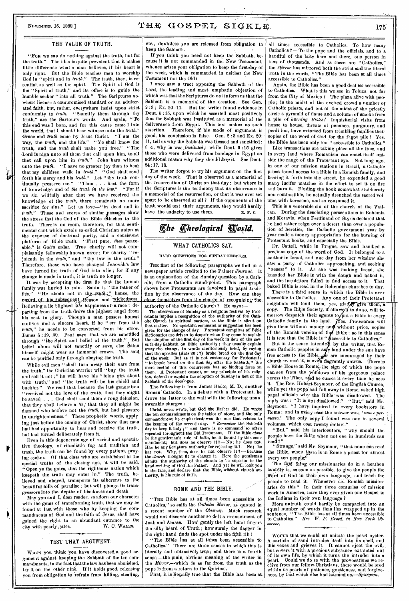## NOVEMBER 15, 1888.]  $THE \ GOSPEL \ SIGKLE \ n$ .

#### THE VALUE OF TRUTH.

"Fon we can do nothing against the truth, but for the truth." The idea is quite prevalent that it makes little difference what a man believes, if his heart is only right. But the Bible teaches men to worship God in "spirit and in *truth."* The truth, then, is essential, as well as the spirit. The Spirit of God is the "Spirit of truth," and its office is to guide the humble seeker " into all truth." The Scriptures nowhere license a compromised standard or an adulterated faith, but, rather, everywhere insist upon strict conformity to *truth. "* Sanctify them through thy truth," are the Saviour's words. And again, " To this end was I born, and for this cause came I into the world, that I should bear witness unto the *truth."* Grace and *truth* came by Jesus Christ. "I am the Grace and *truth* came by Jesus Christ. way, the *truth,* and the life." "Ye shall know the truth, and the *truth* shall make you free." " The -Lord is nigh unto all them that call upon him, to all that call upon him in *truth,"* John bare witness unto the *truth.* "I have no greater joy than to hear that my children walk in *truth."* "God shall send forth his mercy and his *truth."* Let " thy truth continually preserve me." "Thou . . . bast the form of knowledge and of *the truth in the law."* "For if we sin willfully after that we have received the knowledge of the *truth,* there remaineth no more sacrifice for sins." Let us love—"in deed and in *truth."* These and scores of similar passages show the stress that the God of the Bible attaches to the truth. There is no room, therefore, for that sentimental cant which extols so-called Christian union at the expense of doctrinal purity, and a consistent platform of Bible truth. "First pure, *then* peaceplatform of Bible truth. "First pure, then peace-<br>able," is God's order. True charity will not complaisantly fellowship known error ; for charity " rejoiceth in the *truth,"* and " thy law is the truth." Therefore, those who have changed Jehovah's law have turned the truth of God into a lie ; for if any change is made in truth, it is truth no longer.

It was by accepting the first lie that the human family was hurled to ruin. Satan is " the father of lies." "He abode not in the truth;" hence, the record of his subsequent, treason and wickedness. Believing a lie blighted file happiness of a race ; departing from the truth drove the highest angel from<br>his seat in glory. Though a man possess honest Though a man possess honest motives and a Sincere heart, if he " err from the *truth,"* he needs to be converted from his error. James 5:19, 20. Paul says that we are sanctified<br>through "the Spirit and belief of the truth." But through "the Spirit and belief of the truth." belief alone will not sanctify or save, else Satan himself might wear an immortal crown. The soul can be purified only through obeying the truth.

While evil men "shall turn away their ears from the truth," the Christian warrior will "buy the truth and sell it not ;" he will have his "loins girt about with truth," and " the truth will be his shield and<br>buckler." We read that because the last generation We read that because the last generation received not the love of the truth, that they might be saved, . . . God shall send them strong delusion, that they shall believe a *lie;* that they all might be damned who believe not the *truth,* but had pleasure in unrighteousness." These prophetic words, applying just before the coming of Christ, show that man had had opportunity to hear and receive the truth, but had turned deliberately from it.

Even in this degenerate age of varied and speculative theology, of ritualistic fog and tradition and trash, the truth can be found by every patient, praying seeker. Of that class who are established in the special truths of the closing age, it will be said, Open ye the gates, that the righteous nation which keepeth the truth may enter in." The truth, believed and obeyed, transports its adherents to the beautiful hills of paradise ; but will plunge its transgressors into the depths of blackness and death.

May you and I, dear reader, so adorn our character with the gems of transforming truth, that we may be found at last with those who by keeping the commandments of God and the faith of Jesus, shall have gained the right to an abundant entrance to the city with pearly gates. W. C. WALES. city with pearly gates.

#### TEST THAT ARGUMENT.

WHEN you think you have discovered a good argument against keeping the Sabbath of the ten commandments, in the fact that the law has been abolished, try it on the other nine. If it holds good, releasing you from obligation to refrain from killing, stealing,

etc., doubtless you are released from obligation to keep the Sabbath.

If you think you need not keep the Sabbath, because it is not commanded in the New Testament, whence arises your obligation to keep the first.day of the week, which is commanded in neither the New Testament nor the Old?

I once saw a tract opposing the Sabbath of the Lord, the leading and most emphatic objection of which was that the Scriptures do not inform us that the Sabbath is a memorial of the creation. See Gen.  $2:8$ ; Ex.  $20:11$ . But the writer found evidence in Dent. 5 :15, upon which he asserted most positively that the Sabbath was instituted as a memorial of the deliverance from Egypt. This text makes no such assertion. Therefore, if his mode of argument is good, his conclusion is false. Gen. 2 :3 and Ex. 20: 11, tell us why the Sabbath was blessed and sanctified ; *i. e.,* why is *was instituted;* while Deut. 5 :15 gives those who were delivered from bondage in Egypt an additional reason why they should *keep* it. See Dent. 24 :17, 18.

The writer forgot to try his argument on the first day of the week. That is observed as a memorial of the resurrection of Christ on that day ; but where in the Scriptures is the testimony that its observance is a memorial of the resurrection, or that it was ever set apart to be observed at all ? If the opponents of the truth would test their arguments, they would hardly have the audacity to use them. R. F. C.

# *The Theological World.*

#### WHAT CATHOLICS SAY.

#### HARD QUESTIONS FOR SUNDAY-KEEPERS.

THE first of the following paragraphs we find in a newspaper article credited to the Palmer *Journal.* It is an explanation of the Sunday question by a Catholic, from a Catholic stand-point. This paragraph shows how Protestants are involved in papal tradition by the observance of the day. How can they clear themselves from the charge of recognizing the authority of the Catholic Church ? He says :

The observance of Sunday as a religious festival by Prot-estants implies a recognition of the authority of the Cath-olic Church in spiritual matters, as the Bible is silent on that matter. No.apostolic command or suggestion has been given for the change of day. Protestant compilers of Bible<br>dictionaries are driven to despair when they come to explain<br>the adoption of the first day of the week in lieu of the sev-<br>enth-day Sabbath on Bible authority; the that the apostles (Acts 20 : 7) broke bread on the first day<br>of the week. But as it is not eustomary for Protestants<br>"to break bread on the first day after the Sabbath," the<br>mere recital of this occurrence has no binding Sabbath of the decalogue.

The following is from James Blake, M. D., another The following is from James Bluke, M. D., another<br>Roman' Catholic. In a debate with a Protestant, he drove the latter to the wall with the following unanswerable charges :—

Christ never wrote, but God the Father did. He wrote the ten commandments on the tables of stone, and the only commandment he emphasized; was the one that relates to the keeping of the seventh day. *"Remember* the Sabbath day to keep it holy ; " and there is no command' so often repeated throughout the Old Testament. If the Bible *alone* he the gentleman's rule of faith, he is bound by this commandment; but does not.<br>mandment; but does no observe ti<sup>8</sup> — No; he does not.<br>Has he any Scripture auth the *church* thought fit to change it. Hero the gentleman admits the authority of the church to be superior to the hand-writing of God the Father. And yet he will look you in the face, and declare that the Bible, without church authority, is his rule of faith.

### ROME AND THE BIBLE.

"THE Bible has at all times been accessible to Catholics," so saith the *Catholic Mirror,* as quoted in a recent number of the *Observer*. Much research would not discover another so deft a re-enactment of Joab and Amasa. How gently the left hand fingers the silky beard of Truth ; how surely the dagger in the right hand finds the spot under the fifth rib I

"The Bible has at all times been accessible to Catholics." There are three senses in which this is literally and obtrusively true ; and there is a fourth sense,-the plain, obvious meaning of the writer in the *Mirror,*--which is as far from the truth as the pope is from a return to the Quirinal.

First, it is literally true that the Bible has been at

all times accessible to Catholics. To how many Catholics  $?$  - To the pope and the officials, and to a handful of the laity here and there, one person in tens of thousands. And as these are "Catholics," the *Mirror* has mirrored both the strict and the literal truth in the words, "The Bible has been at all times accessible to Catholics."

Again, the Bible has been a good deal *too* accessible to Catholics. What is this we see in Toluca not far from the City of Mexico ? The plaza alive with people ; in the midst of the excited crowd a number of Catholic priests, and out of the midst of the priestly circle a pyramid of flame and a column of smoke from a pile of *burning Bibles /* Inquisitorial visits from house to house, threats of penance, purgatory, and perdition, have extorted from trembling families their copies of the word of God for the fagot pile 1 Yes, the Bible has been only too " accessible to Catholics."

Like transactions are taking place all the time, and in every land where Romanism can enact itself outside the range of the Protestant eye. Not long ago, in one of our mission stations in Brazil, a Catholic priest found access to a Bible in a Romish family, and bearing it forth into the street, he expended a good many lucifer matches in the effort to set it on fire<br>and burn it. Finding the hook somewhat stubbornly Finding the book somewhat stubbornly non-combustible, he actually drenched the sacred volume with kerosene, and so consumed it.

This is a venerable sin of the church of the Vati-<br>can. During the desolating nersecutions in Bohemia During the desolating persecutions in Bohemia and Moravia, when Ferdinand of Styria declared that he had rather reign over a desert than over a population of heretics, the Catholic government year by year made a money appropriation for the burning of Protestant books, and especially the Bible.

Dr. Cattell, while in Prague, saw and handled a precious copy of the word of God. It belonged to a mother in Israel, and one day from her window she saw a party of Catholics approaching, and seeking 'access" to it. As she was making bread, she kneaded her Bible in with the dough and baked it, and the inquisitors failed to find access to it. That baked Bible is read in the Bohemian churches to-day.

There is a third sense in which the Bible is ever accessible to Catholics. Any one of their Protestant neighbors will lend them, yes, glady give them, a copy. The Bible Society, if allowed to do so, will tomorrow despatch their agents to put a Bible in every Catholic family in the land.  $N_{\text{es}}$  Protestants will give them without money and without price, copies of the Romish version of the Bible : so in this sense it is true that the Bible is "  $\alpha$  ceessible to Catholics."

But in the sense intendest by the writer, that Roman Catholic peoples in any land under the sun have free access to the Bible,  $\oint r$  are encouraged by their church to read it, is even flagrantly untrue. There is a Bible House in Rome; the sign of which the pope can see from the yvindows of his gorgeous palace across the Tiber, and he curses it every time he sees it. The Rev. Hobart Seymour, of the English Church, while yet the pope had full sway in Rome, asked high papal officials why the Bible was disallowed. The reply was : "It is not disallowed." "But," said Mr. Seymour, "I have inquired in every bookstore in Rome ; and in ev'ery case the answer was, *'non e per*messo.' The only copy I found was one in several  $\zeta$ volumes, which cost twenty dollars." •

"But," said his interlocutors, "why should the people have the Bible when not one in hundreds can read?"

"Strange," said Mr. Seymour, "that none can read the Bible, when there is in Rome a priest for almost every ten people."

The first thing our missionaries do in a heathen country is, as soon as possible, to give the people the word of God in their own language, and teach the people to read it. Whenever did Romish missionaries do this? In their three centuries of mission work in America, have they ever given one Gospel to the Indians in their own language ?

More untruth could hardly be compacted into an equal number of words than lies wrapped up in the sentence, "The Bible has at all times been accessible to Catholics."—Rev. *W. P. Breed, in New York Observer.* 

WOULD that we could all imitate the pearl oyster. A particle of sand intrudes itself into its shell, and this vexes and grieves it. It cannot eject the evil, but covers it with a precious substance extracted out of its own life, by which it turns the intruder into a pearl. Could we do so with the provocations we receive from our fellow-Christians, there would be bred within us pearls of patience, gentleness, and forgiveness, by that which else had harmed *us.—Spurgeon.*